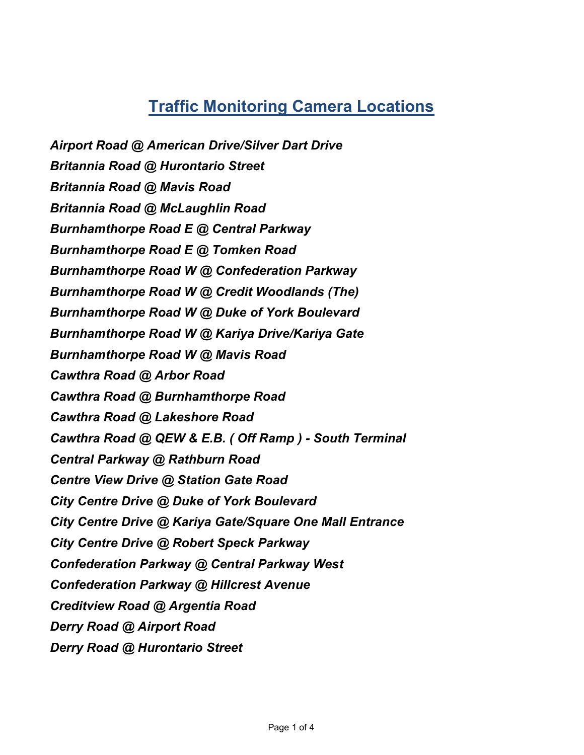Airport Road @ American Drive/Silver Dart Drive Britannia Road @ Hurontario Street Britannia Road @ Mavis Road Britannia Road @ McLaughlin Road Burnhamthorpe Road E @ Central Parkway Burnhamthorpe Road E @ Tomken Road Burnhamthorpe Road W @ Confederation Parkway Burnhamthorpe Road W @ Credit Woodlands (The) Burnhamthorpe Road W @ Duke of York Boulevard Burnhamthorpe Road W @ Kariya Drive/Kariya Gate Burnhamthorpe Road W @ Mavis Road Cawthra Road @ Arbor Road Cawthra Road @ Burnhamthorpe Road Cawthra Road @ Lakeshore Road Cawthra Road @ QEW & E.B. ( Off Ramp ) - South Terminal Central Parkway @ Rathburn Road Centre View Drive @ Station Gate Road City Centre Drive @ Duke of York Boulevard City Centre Drive @ Kariya Gate/Square One Mall Entrance City Centre Drive @ Robert Speck Parkway Confederation Parkway @ Central Parkway West Confederation Parkway @ Hillcrest Avenue Creditview Road @ Argentia Road Derry Road @ Airport Road Derry Road @ Hurontario Street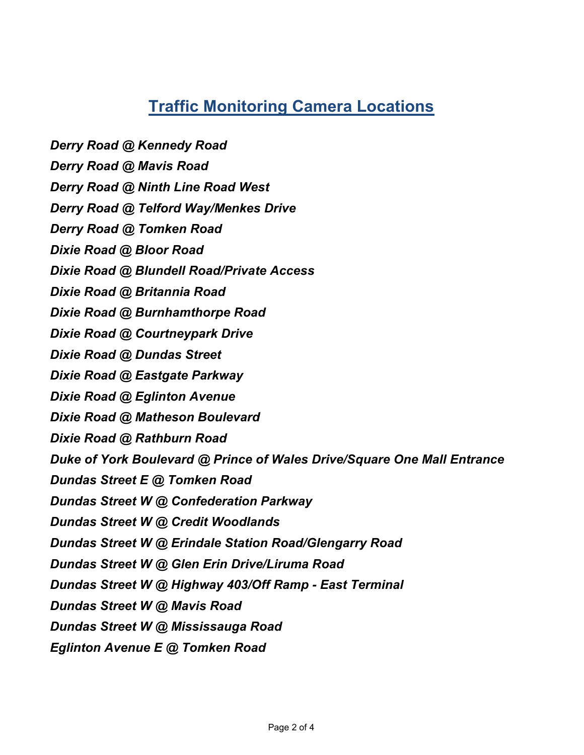- Derry Road @ Kennedy Road
- Derry Road @ Mavis Road
- Derry Road @ Ninth Line Road West
- Derry Road @ Telford Way/Menkes Drive
- Derry Road @ Tomken Road
- Dixie Road @ Bloor Road
- Dixie Road @ Blundell Road/Private Access
- Dixie Road @ Britannia Road
- Dixie Road @ Burnhamthorpe Road
- Dixie Road @ Courtneypark Drive
- Dixie Road @ Dundas Street
- Dixie Road @ Eastgate Parkway
- Dixie Road @ Eglinton Avenue
- Dixie Road @ Matheson Boulevard
- Dixie Road @ Rathburn Road
- Duke of York Boulevard @ Prince of Wales Drive/Square One Mall Entrance
- Dundas Street E @ Tomken Road
- Dundas Street W @ Confederation Parkway
- Dundas Street W @ Credit Woodlands
- Dundas Street W @ Erindale Station Road/Glengarry Road
- Dundas Street W @ Glen Erin Drive/Liruma Road
- Dundas Street W @ Highway 403/Off Ramp East Terminal
- Dundas Street W @ Mavis Road
- Dundas Street W @ Mississauga Road
- Eglinton Avenue E @ Tomken Road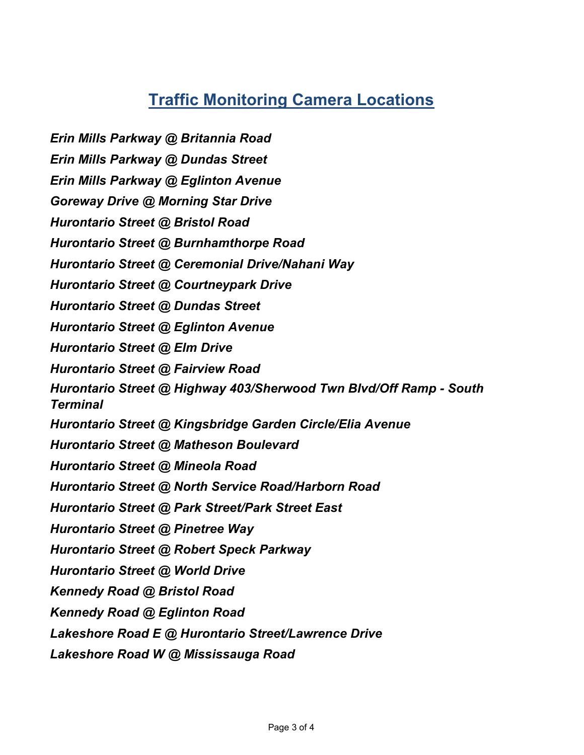Erin Mills Parkway @ Britannia Road

Erin Mills Parkway @ Dundas Street

Erin Mills Parkway @ Eglinton Avenue

Goreway Drive @ Morning Star Drive

Hurontario Street @ Bristol Road

Hurontario Street @ Burnhamthorpe Road

Hurontario Street @ Ceremonial Drive/Nahani Way

Hurontario Street @ Courtneypark Drive

Hurontario Street @ Dundas Street

Hurontario Street @ Eglinton Avenue

Hurontario Street @ Elm Drive

Hurontario Street @ Fairview Road

Hurontario Street @ Highway 403/Sherwood Twn Blvd/Off Ramp - South Terminal

Hurontario Street @ Kingsbridge Garden Circle/Elia Avenue

Hurontario Street @ Matheson Boulevard

Hurontario Street @ Mineola Road

Hurontario Street @ North Service Road/Harborn Road

Hurontario Street @ Park Street/Park Street East

Hurontario Street @ Pinetree Way

Hurontario Street @ Robert Speck Parkway

Hurontario Street @ World Drive

Kennedy Road @ Bristol Road

Kennedy Road @ Eglinton Road

Lakeshore Road E @ Hurontario Street/Lawrence Drive

Lakeshore Road W @ Mississauga Road